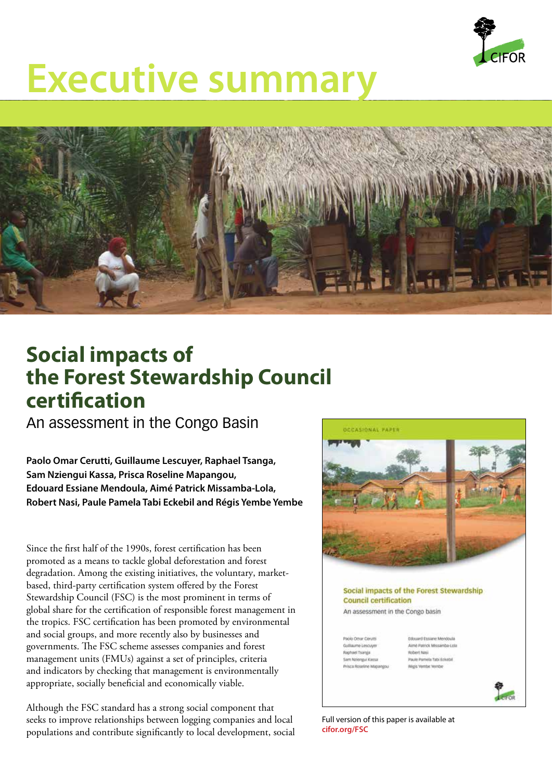

# **Executive summary**



# **Social impacts of the Forest Stewardship Council certification**

An assessment in the Congo Basin

**Paolo Omar Cerutti, Guillaume Lescuyer, Raphael Tsanga, Sam Nziengui Kassa, Prisca Roseline Mapangou, Edouard Essiane Mendoula, Aimé Patrick Missamba-Lola, Robert Nasi, Paule Pamela Tabi Eckebil and Régis Yembe Yembe**

Since the first half of the 1990s, forest certification has been promoted as a means to tackle global deforestation and forest degradation. Among the existing initiatives, the voluntary, marketbased, third-party certification system offered by the Forest Stewardship Council (FSC) is the most prominent in terms of global share for the certification of responsible forest management in the tropics. FSC certification has been promoted by environmental and social groups, and more recently also by businesses and governments. The FSC scheme assesses companies and forest management units (FMUs) against a set of principles, criteria and indicators by checking that management is environmentally appropriate, socially beneficial and economically viable.

Although the FSC standard has a strong social component that seeks to improve relationships between logging companies and local populations and contribute significantly to local development, social



## Social impacts of the Forest Stewardship **Council certification**

An assessment in the Congo basin

Paolo Orter Cerum **Rachari Tsansa** Sam Nziengui Kassa **Educard Ensurer Mendoula** Aimé Patrick Missamba-Lola Robert Nasi Paule Pamela Tabi Eckebi cis Verribe Ve



Full version of this paper is available at **cifor.org/FSC**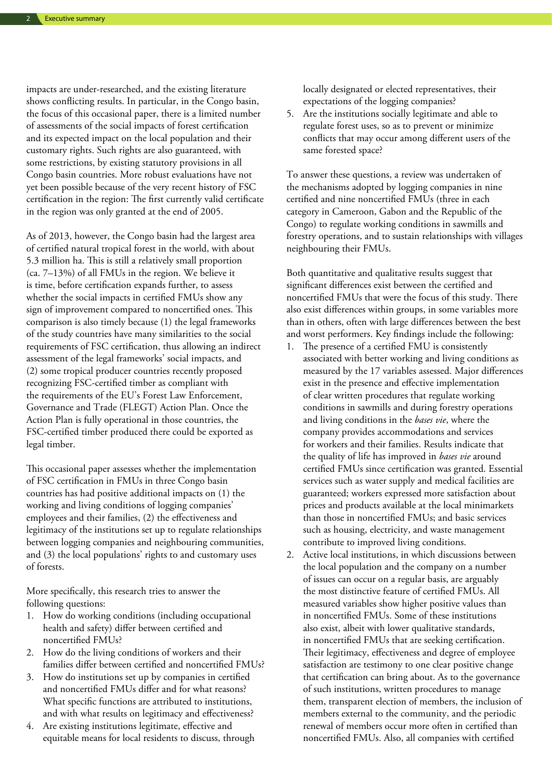impacts are under-researched, and the existing literature shows conflicting results. In particular, in the Congo basin, the focus of this occasional paper, there is a limited number of assessments of the social impacts of forest certification and its expected impact on the local population and their customary rights. Such rights are also guaranteed, with some restrictions, by existing statutory provisions in all Congo basin countries. More robust evaluations have not yet been possible because of the very recent history of FSC certification in the region: The first currently valid certificate in the region was only granted at the end of 2005.

As of 2013, however, the Congo basin had the largest area of certified natural tropical forest in the world, with about 5.3 million ha. This is still a relatively small proportion (ca. 7–13%) of all FMUs in the region. We believe it is time, before certification expands further, to assess whether the social impacts in certified FMUs show any sign of improvement compared to noncertified ones. This comparison is also timely because (1) the legal frameworks of the study countries have many similarities to the social requirements of FSC certification, thus allowing an indirect assessment of the legal frameworks' social impacts, and (2) some tropical producer countries recently proposed recognizing FSC-certified timber as compliant with the requirements of the EU's Forest Law Enforcement, Governance and Trade (FLEGT) Action Plan. Once the Action Plan is fully operational in those countries, the FSC-certified timber produced there could be exported as legal timber.

This occasional paper assesses whether the implementation of FSC certification in FMUs in three Congo basin countries has had positive additional impacts on (1) the working and living conditions of logging companies' employees and their families, (2) the effectiveness and legitimacy of the institutions set up to regulate relationships between logging companies and neighbouring communities, and (3) the local populations' rights to and customary uses of forests.

More specifically, this research tries to answer the following questions:

- 1. How do working conditions (including occupational health and safety) differ between certified and noncertified FMUs?
- 2. How do the living conditions of workers and their families differ between certified and noncertified FMUs?
- 3. How do institutions set up by companies in certified and noncertified FMUs differ and for what reasons? What specific functions are attributed to institutions, and with what results on legitimacy and effectiveness?
- 4. Are existing institutions legitimate, effective and equitable means for local residents to discuss, through

locally designated or elected representatives, their expectations of the logging companies?

5. Are the institutions socially legitimate and able to regulate forest uses, so as to prevent or minimize conflicts that may occur among different users of the same forested space?

To answer these questions, a review was undertaken of the mechanisms adopted by logging companies in nine certified and nine noncertified FMUs (three in each category in Cameroon, Gabon and the Republic of the Congo) to regulate working conditions in sawmills and forestry operations, and to sustain relationships with villages neighbouring their FMUs.

Both quantitative and qualitative results suggest that significant differences exist between the certified and noncertified FMUs that were the focus of this study. There also exist differences within groups, in some variables more than in others, often with large differences between the best and worst performers. Key findings include the following:

- 1. The presence of a certified FMU is consistently associated with better working and living conditions as measured by the 17 variables assessed. Major differences exist in the presence and effective implementation of clear written procedures that regulate working conditions in sawmills and during forestry operations and living conditions in the *bases vie*, where the company provides accommodations and services for workers and their families. Results indicate that the quality of life has improved in *bases vie* around certified FMUs since certification was granted. Essential services such as water supply and medical facilities are guaranteed; workers expressed more satisfaction about prices and products available at the local minimarkets than those in noncertified FMUs; and basic services such as housing, electricity, and waste management contribute to improved living conditions.
- 2. Active local institutions, in which discussions between the local population and the company on a number of issues can occur on a regular basis, are arguably the most distinctive feature of certified FMUs. All measured variables show higher positive values than in noncertified FMUs. Some of these institutions also exist, albeit with lower qualitative standards, in noncertified FMUs that are seeking certification. Their legitimacy, effectiveness and degree of employee satisfaction are testimony to one clear positive change that certification can bring about. As to the governance of such institutions, written procedures to manage them, transparent election of members, the inclusion of members external to the community, and the periodic renewal of members occur more often in certified than noncertified FMUs. Also, all companies with certified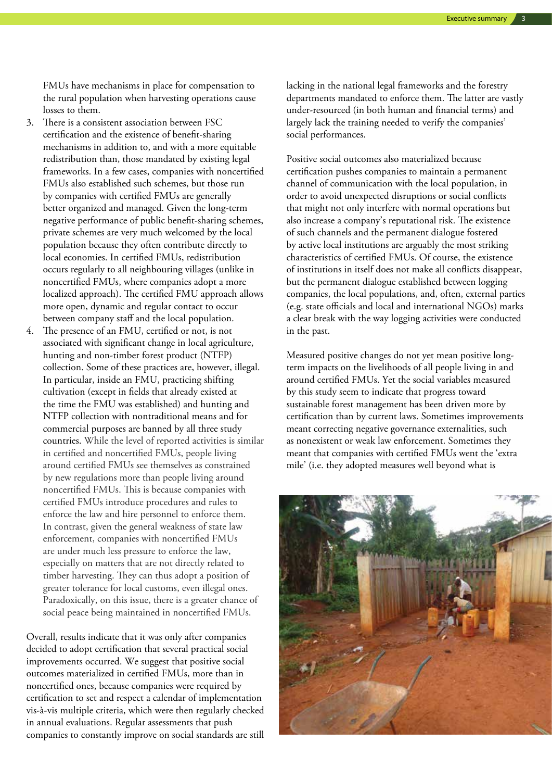FMUs have mechanisms in place for compensation to the rural population when harvesting operations cause losses to them.

- 3. There is a consistent association between FSC certification and the existence of benefit-sharing mechanisms in addition to, and with a more equitable redistribution than, those mandated by existing legal frameworks. In a few cases, companies with noncertified FMUs also established such schemes, but those run by companies with certified FMUs are generally better organized and managed. Given the long-term negative performance of public benefit-sharing schemes, private schemes are very much welcomed by the local population because they often contribute directly to local economies. In certified FMUs, redistribution occurs regularly to all neighbouring villages (unlike in noncertified FMUs, where companies adopt a more localized approach). The certified FMU approach allows more open, dynamic and regular contact to occur between company staff and the local population.
- The presence of an FMU, certified or not, is not associated with significant change in local agriculture, hunting and non-timber forest product (NTFP) collection. Some of these practices are, however, illegal. In particular, inside an FMU, practicing shifting cultivation (except in fields that already existed at the time the FMU was established) and hunting and NTFP collection with nontraditional means and for commercial purposes are banned by all three study countries. While the level of reported activities is similar in certified and noncertified FMUs, people living around certified FMUs see themselves as constrained by new regulations more than people living around noncertified FMUs. This is because companies with certified FMUs introduce procedures and rules to enforce the law and hire personnel to enforce them. In contrast, given the general weakness of state law enforcement, companies with noncertified FMUs are under much less pressure to enforce the law, especially on matters that are not directly related to timber harvesting. They can thus adopt a position of greater tolerance for local customs, even illegal ones. Paradoxically, on this issue, there is a greater chance of social peace being maintained in noncertified FMUs.

Overall, results indicate that it was only after companies decided to adopt certification that several practical social improvements occurred. We suggest that positive social outcomes materialized in certified FMUs, more than in noncertified ones, because companies were required by certification to set and respect a calendar of implementation vis-à-vis multiple criteria, which were then regularly checked in annual evaluations. Regular assessments that push companies to constantly improve on social standards are still

lacking in the national legal frameworks and the forestry departments mandated to enforce them. The latter are vastly under-resourced (in both human and financial terms) and largely lack the training needed to verify the companies' social performances.

Positive social outcomes also materialized because certification pushes companies to maintain a permanent channel of communication with the local population, in order to avoid unexpected disruptions or social conflicts that might not only interfere with normal operations but also increase a company's reputational risk. The existence of such channels and the permanent dialogue fostered by active local institutions are arguably the most striking characteristics of certified FMUs. Of course, the existence of institutions in itself does not make all conflicts disappear, but the permanent dialogue established between logging companies, the local populations, and, often, external parties (e.g. state officials and local and international NGOs) marks a clear break with the way logging activities were conducted in the past.

Measured positive changes do not yet mean positive longterm impacts on the livelihoods of all people living in and around certified FMUs. Yet the social variables measured by this study seem to indicate that progress toward sustainable forest management has been driven more by certification than by current laws. Sometimes improvements meant correcting negative governance externalities, such as nonexistent or weak law enforcement. Sometimes they meant that companies with certified FMUs went the 'extra mile' (i.e. they adopted measures well beyond what is